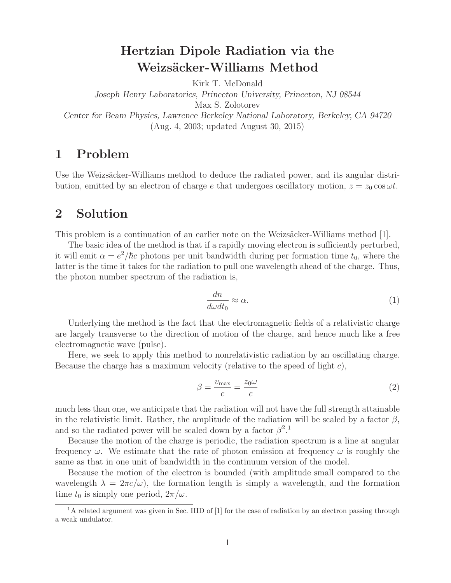## **Hertzian Dipole Radiation via the Weizs¨acker-Williams Method**

Kirk T. McDonald

*Joseph Henry Laboratories, Princeton University, Princeton, NJ 08544* Max S. Zolotorev *Center for Beam Physics, Lawrence Berkeley National Laboratory, Berkeley, CA 94720* (Aug. 4, 2003; updated August 30, 2015)

## **1 Problem**

Use the Weizsäcker-Williams method to deduce the radiated power, and its angular distribution, emitted by an electron of charge e that undergoes oscillatory motion,  $z = z_0 \cos \omega t$ .

## **2 Solution**

This problem is a continuation of an earlier note on the Weizsäcker-Williams method [1].

The basic idea of the method is that if a rapidly moving electron is sufficiently perturbed, it will emit  $\alpha = e^2/\hbar c$  photons per unit bandwidth during per formation time  $t_0$ , where the latter is the time it takes for the radiation to pull one wavelength ahead of the charge. Thus, the photon number spectrum of the radiation is,

$$
\frac{dn}{d\omega dt_0} \approx \alpha. \tag{1}
$$

Underlying the method is the fact that the electromagnetic fields of a relativistic charge are largely transverse to the direction of motion of the charge, and hence much like a free electromagnetic wave (pulse).

Here, we seek to apply this method to nonrelativistic radiation by an oscillating charge. Because the charge has a maximum velocity (relative to the speed of light c),

$$
\beta = \frac{v_{\text{max}}}{c} = \frac{z_0 \omega}{c} \tag{2}
$$

much less than one, we anticipate that the radiation will not have the full strength attainable in the relativistic limit. Rather, the amplitude of the radiation will be scaled by a factor  $\beta$ , and so the radiated power will be scaled down by a factor  $\beta^2$ .<sup>1</sup>

Because the motion of the charge is periodic, the radiation spectrum is a line at angular frequency  $\omega$ . We estimate that the rate of photon emission at frequency  $\omega$  is roughly the same as that in one unit of bandwidth in the continuum version of the model.

Because the motion of the electron is bounded (with amplitude small compared to the wavelength  $\lambda = 2\pi c/\omega$ , the formation length is simply a wavelength, and the formation time  $t_0$  is simply one period,  $2\pi/\omega$ .

 $1<sup>1</sup>A$  related argument was given in Sec. IIID of [1] for the case of radiation by an electron passing through a weak undulator.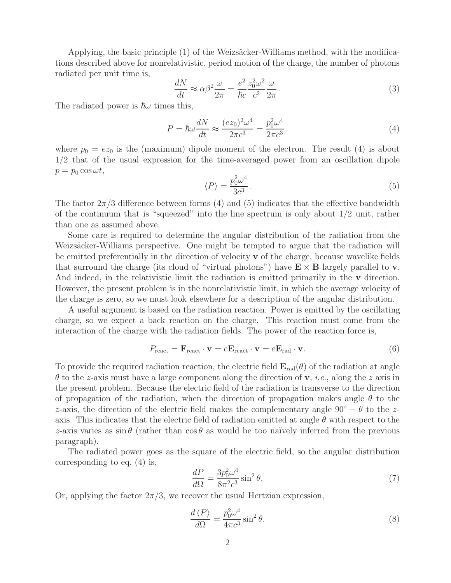Applying, the basic principle  $(1)$  of the Weizsäcker-Williams method, with the modifications described above for nonrelativistic, period motion of the charge, the number of photons radiated per unit time is,

$$
\frac{dN}{dt} \approx \alpha \beta^2 \frac{\omega}{2\pi} = \frac{e^2}{\hbar c} \frac{z_0^2 \omega^2}{c^2} \frac{\omega}{2\pi}.
$$
\n(3)

The radiated power is  $\hbar\omega$  times this,

$$
P = \hbar\omega \frac{dN}{dt} \approx \frac{(ez_0)^2 \omega^4}{2\pi c^3} = \frac{p_0^2 \omega^4}{2\pi c^3}.
$$
 (4)

where  $p_0 = ez_0$  is the (maximum) dipole moment of the electron. The result (4) is about 1/2 that of the usual expression for the time-averaged power from an oscillation dipole  $p = p_0 \cos \omega t$ ,

$$
\langle P \rangle = \frac{p_0^2 \omega^4}{3c^3} \,. \tag{5}
$$

The factor  $2\pi/3$  difference between forms (4) and (5) indicates that the effective bandwidth of the continuum that is "squeezed" into the line spectrum is only about 1/2 unit, rather than one as assumed above.

Some care is required to determine the angular distribution of the radiation from the Weizsäcker-Williams perspective. One might be tempted to argue that the radiation will be emitted preferentially in the direction of velocity **v** of the charge, because wavelike fields that surround the charge (its cloud of "virtual photons") have  $\mathbf{E} \times \mathbf{B}$  largely parallel to **v**. And indeed, in the relativistic limit the radiation is emitted primarily in the **v** direction. However, the present problem is in the nonrelativistic limit, in which the average velocity of the charge is zero, so we must look elsewhere for a description of the angular distribution.

A useful argument is based on the radiation reaction. Power is emitted by the oscillating charge, so we expect a back reaction on the charge. This reaction must come from the interaction of the charge with the radiation fields. The power of the reaction force is,

$$
P_{\text{react}} = \mathbf{F}_{\text{react}} \cdot \mathbf{v} = e \mathbf{E}_{\text{react}} \cdot \mathbf{v} = e \mathbf{E}_{\text{rad}} \cdot \mathbf{v}.
$$
 (6)

To provide the required radiation reaction, the electric field  $\mathbf{E}_{rad}(\theta)$  of the radiation at angle  $\theta$  to the z-axis must have a large component along the direction of **v**, *i.e.*, along the z axis in the present problem. Because the electric field of the radiation is transverse to the direction of propagation of the radiation, when the direction of propagation makes angle  $\theta$  to the z-axis, the direction of the electric field makes the complementary angle  $90° - \theta$  to the zaxis. This indicates that the electric field of radiation emitted at angle  $\theta$  with respect to the z-axis varies as  $\sin \theta$  (rather than  $\cos \theta$  as would be too naïvely inferred from the previous paragraph).

The radiated power goes as the square of the electric field, so the angular distribution corresponding to eq. (4) is,

$$
\frac{dP}{d\Omega} = \frac{3p_0^2 \omega^4}{8\pi^2 c^3} \sin^2 \theta.
$$
\n(7)

Or, applying the factor  $2\pi/3$ , we recover the usual Hertzian expression,

$$
\frac{d\langle P\rangle}{d\Omega} = \frac{p_0^2 \omega^4}{4\pi c^3} \sin^2 \theta.
$$
\n(8)